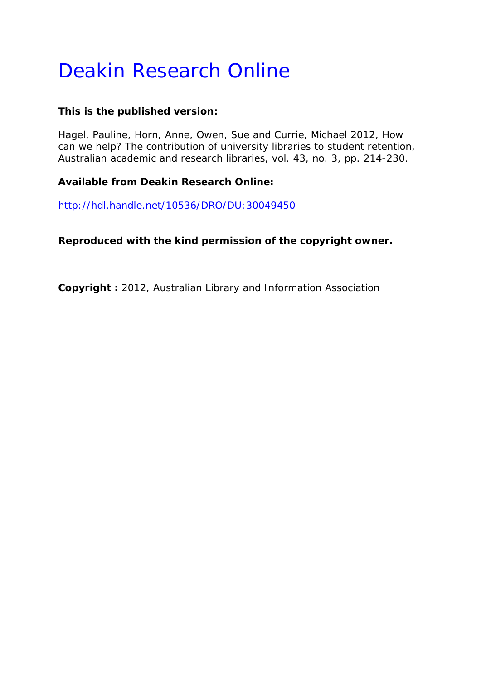# Deakin Research Online

# **This is the published version:**

Hagel, Pauline, Horn, Anne, Owen, Sue and Currie, Michael 2012, How can we help? The contribution of university libraries to student retention*, Australian academic and research libraries*, vol. 43, no. 3, pp. 214-230.

# **Available from Deakin Research Online:**

http://hdl.handle.net/10536/DRO/DU:30049450

**Reproduced with the kind permission of the copyright owner.** 

**Copyright :** 2012, Australian Library and Information Association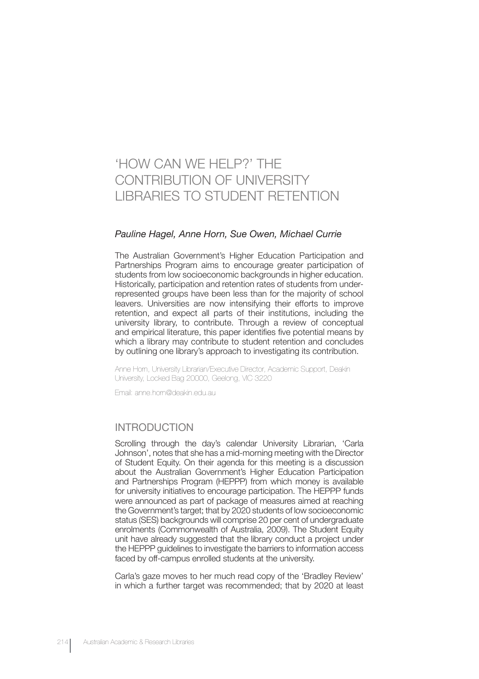# 'HOW CAN WE HELP?' THE CONTRIBUTION OF UNIVERSITY LIBRARIES TO STUDENT RETENTION

#### *Pauline Hagel, Anne Horn, Sue Owen, Michael Currie*

The Australian Government's Higher Education Participation and Partnerships Program aims to encourage greater participation of students from low socioeconomic backgrounds in higher education. Historically, participation and retention rates of students from underrepresented groups have been less than for the majority of school leavers. Universities are now intensifying their efforts to improve retention, and expect all parts of their institutions, including the university library, to contribute. Through a review of conceptual and empirical literature, this paper identifies five potential means by which a library may contribute to student retention and concludes by outlining one library's approach to investigating its contribution.

Anne Horn, University Librarian/Executive Director, Academic Support, Deakin University, Locked Bag 20000, Geelong, VIC 3220

Email: anne.horn@deakin.edu.au

## INTRODUCTION

Scrolling through the day's calendar University Librarian, 'Carla Johnson', notes that she has a mid-morning meeting with the Director of Student Equity. On their agenda for this meeting is a discussion about the Australian Government's Higher Education Participation and Partnerships Program (HEPPP) from which money is available for university initiatives to encourage participation. The HEPPP funds were announced as part of package of measures aimed at reaching the Government's target; that by 2020 students of low socioeconomic status (SES) backgrounds will comprise 20 per cent of undergraduate enrolments (Commonwealth of Australia, 2009). The Student Equity unit have already suggested that the library conduct a project under the HEPPP guidelines to investigate the barriers to information access faced by off-campus enrolled students at the university.

Carla's gaze moves to her much read copy of the 'Bradley Review' in which a further target was recommended; that by 2020 at least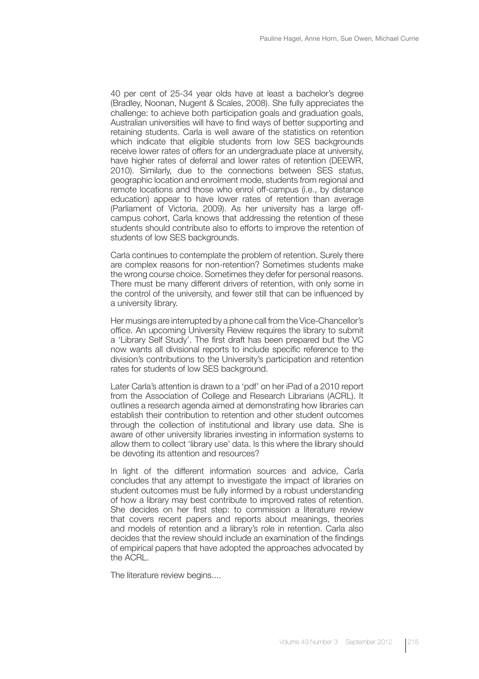40 per cent of 25-34 year olds have at least a bachelor's degree (Bradley, Noonan, Nugent & Scales, 2008). She fully appreciates the challenge: to achieve both participation goals and graduation goals, Australian universities will have to find ways of better supporting and retaining students. Carla is well aware of the statistics on retention which indicate that eligible students from low SES backgrounds receive lower rates of offers for an undergraduate place at university, have higher rates of deferral and lower rates of retention (DEEWR, 2010). Similarly, due to the connections between SES status, geographic location and enrolment mode, students from regional and remote locations and those who enrol off-campus (i.e., by distance education) appear to have lower rates of retention than average (Parliament of Victoria, 2009). As her university has a large offcampus cohort, Carla knows that addressing the retention of these students should contribute also to efforts to improve the retention of students of low SES backgrounds.

Carla continues to contemplate the problem of retention. Surely there are complex reasons for non-retention? Sometimes students make the wrong course choice. Sometimes they defer for personal reasons. There must be many different drivers of retention, with only some in the control of the university, and fewer still that can be influenced by a university library.

Her musings are interrupted by a phone call from the Vice-Chancellor's office. An upcoming University Review requires the library to submit a 'Library Self Study'. The first draft has been prepared but the VC now wants all divisional reports to include specific reference to the division's contributions to the University's participation and retention rates for students of low SES background.

Later Carla's attention is drawn to a 'pdf' on her iPad of a 2010 report from the Association of College and Research Librarians (ACRL). It outlines a research agenda aimed at demonstrating how libraries can establish their contribution to retention and other student outcomes through the collection of institutional and library use data. She is aware of other university libraries investing in information systems to allow them to collect 'library use' data. Is this where the library should be devoting its attention and resources?

In light of the different information sources and advice, Carla concludes that any attempt to investigate the impact of libraries on student outcomes must be fully informed by a robust understanding of how a library may best contribute to improved rates of retention. She decides on her first step: to commission a literature review that covers recent papers and reports about meanings, theories and models of retention and a library's role in retention. Carla also decides that the review should include an examination of the findings of empirical papers that have adopted the approaches advocated by the ACRL.

The literature review begins....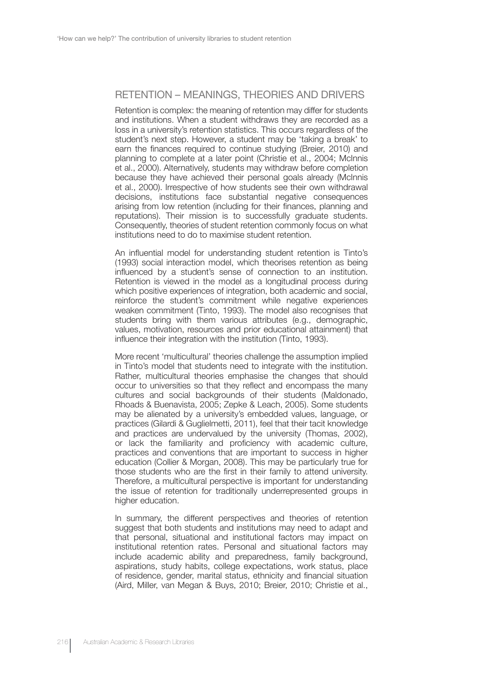# RETENTION – MEANINGS, THEORIES AND DRIVERS

Retention is complex: the meaning of retention may differ for students and institutions. When a student withdraws they are recorded as a loss in a university's retention statistics. This occurs regardless of the student's next step. However, a student may be 'taking a break' to earn the finances required to continue studying (Breier, 2010) and planning to complete at a later point (Christie et al., 2004; McInnis et al., 2000). Alternatively, students may withdraw before completion because they have achieved their personal goals already (McInnis et al., 2000). Irrespective of how students see their own withdrawal decisions, institutions face substantial negative consequences arising from low retention (including for their finances, planning and reputations). Their mission is to successfully graduate students. Consequently, theories of student retention commonly focus on what institutions need to do to maximise student retention.

An influential model for understanding student retention is Tinto's (1993) social interaction model, which theorises retention as being influenced by a student's sense of connection to an institution. Retention is viewed in the model as a longitudinal process during which positive experiences of integration, both academic and social, reinforce the student's commitment while negative experiences weaken commitment (Tinto, 1993). The model also recognises that students bring with them various attributes (e.g., demographic, values, motivation, resources and prior educational attainment) that influence their integration with the institution (Tinto, 1993).

More recent 'multicultural' theories challenge the assumption implied in Tinto's model that students need to integrate with the institution. Rather, multicultural theories emphasise the changes that should occur to universities so that they reflect and encompass the many cultures and social backgrounds of their students (Maldonado, Rhoads & Buenavista, 2005; Zepke & Leach, 2005). Some students may be alienated by a university's embedded values, language, or practices (Gilardi & Guglielmetti, 2011), feel that their tacit knowledge and practices are undervalued by the university (Thomas, 2002), or lack the familiarity and proficiency with academic culture, practices and conventions that are important to success in higher education (Collier & Morgan, 2008). This may be particularly true for those students who are the first in their family to attend university. Therefore, a multicultural perspective is important for understanding the issue of retention for traditionally underrepresented groups in higher education.

In summary, the different perspectives and theories of retention suggest that both students and institutions may need to adapt and that personal, situational and institutional factors may impact on institutional retention rates. Personal and situational factors may include academic ability and preparedness, family background, aspirations, study habits, college expectations, work status, place of residence, gender, marital status, ethnicity and financial situation (Aird, Miller, van Megan & Buys, 2010; Breier, 2010; Christie et al.,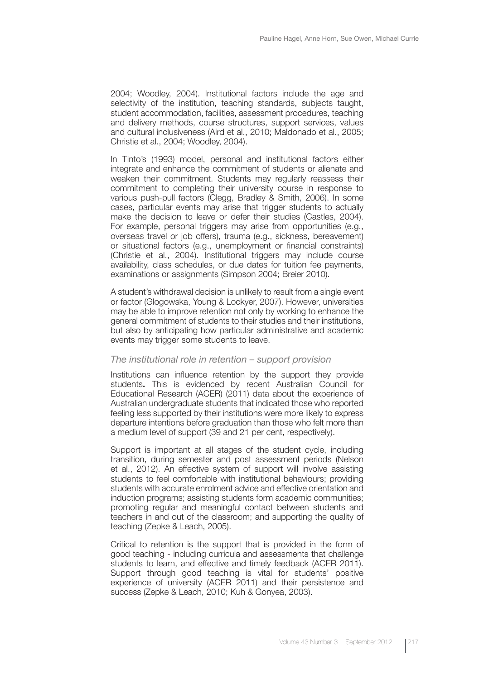2004; Woodley, 2004). Institutional factors include the age and selectivity of the institution, teaching standards, subjects taught, student accommodation, facilities, assessment procedures, teaching and delivery methods, course structures, support services, values and cultural inclusiveness (Aird et al., 2010; Maldonado et al., 2005; Christie et al., 2004; Woodley, 2004).

In Tinto's (1993) model, personal and institutional factors either integrate and enhance the commitment of students or alienate and weaken their commitment. Students may regularly reassess their commitment to completing their university course in response to various push-pull factors (Clegg, Bradley & Smith, 2006). In some cases, particular events may arise that trigger students to actually make the decision to leave or defer their studies (Castles, 2004). For example, personal triggers may arise from opportunities (e.g., overseas travel or job offers), trauma (e.g., sickness, bereavement) or situational factors (e.g., unemployment or financial constraints) (Christie et al., 2004). Institutional triggers may include course availability, class schedules, or due dates for tuition fee payments, examinations or assignments (Simpson 2004; Breier 2010).

A student's withdrawal decision is unlikely to result from a single event or factor (Glogowska, Young & Lockyer, 2007). However, universities may be able to improve retention not only by working to enhance the general commitment of students to their studies and their institutions, but also by anticipating how particular administrative and academic events may trigger some students to leave.

#### *The institutional role in retention – support provision*

Institutions can influence retention by the support they provide students**.** This is evidenced by recent Australian Council for Educational Research (ACER) (2011) data about the experience of Australian undergraduate students that indicated those who reported feeling less supported by their institutions were more likely to express departure intentions before graduation than those who felt more than a medium level of support (39 and 21 per cent, respectively).

Support is important at all stages of the student cycle, including transition, during semester and post assessment periods (Nelson et al., 2012). An effective system of support will involve assisting students to feel comfortable with institutional behaviours; providing students with accurate enrolment advice and effective orientation and induction programs; assisting students form academic communities; promoting regular and meaningful contact between students and teachers in and out of the classroom; and supporting the quality of teaching (Zepke & Leach, 2005).

Critical to retention is the support that is provided in the form of good teaching - including curricula and assessments that challenge students to learn, and effective and timely feedback (ACER 2011). Support through good teaching is vital for students' positive experience of university (ACER 2011) and their persistence and success (Zepke & Leach, 2010; Kuh & Gonyea, 2003).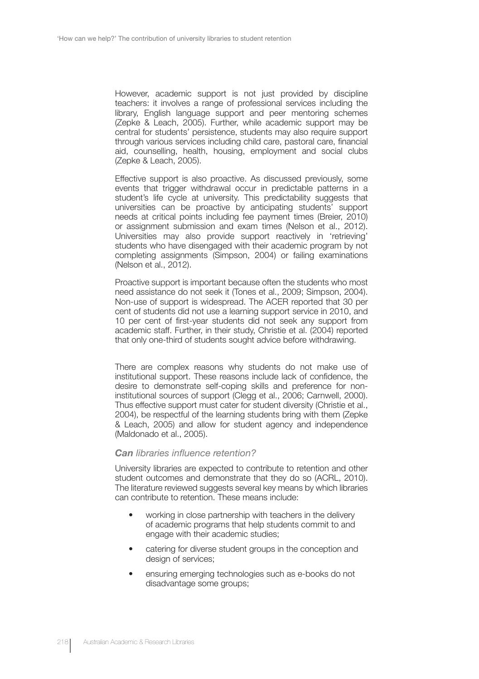However, academic support is not just provided by discipline teachers: it involves a range of professional services including the library, English language support and peer mentoring schemes (Zepke & Leach, 2005). Further, while academic support may be central for students' persistence, students may also require support through various services including child care, pastoral care, financial aid, counselling, health, housing, employment and social clubs (Zepke & Leach, 2005).

Effective support is also proactive. As discussed previously, some events that trigger withdrawal occur in predictable patterns in a student's life cycle at university. This predictability suggests that universities can be proactive by anticipating students' support needs at critical points including fee payment times (Breier, 2010) or assignment submission and exam times (Nelson et al., 2012). Universities may also provide support reactively in 'retrieving' students who have disengaged with their academic program by not completing assignments (Simpson, 2004) or failing examinations (Nelson et al., 2012).

Proactive support is important because often the students who most need assistance do not seek it (Tones et al., 2009; Simpson, 2004). Non-use of support is widespread. The ACER reported that 30 per cent of students did not use a learning support service in 2010, and 10 per cent of first-year students did not seek any support from academic staff. Further, in their study, Christie et al. (2004) reported that only one-third of students sought advice before withdrawing.

There are complex reasons why students do not make use of institutional support. These reasons include lack of confidence, the desire to demonstrate self-coping skills and preference for noninstitutional sources of support (Clegg et al., 2006; Carnwell, 2000). Thus effective support must cater for student diversity (Christie et al., 2004), be respectful of the learning students bring with them (Zepke & Leach, 2005) and allow for student agency and independence (Maldonado et al., 2005).

#### *Can libraries influence retention?*

University libraries are expected to contribute to retention and other student outcomes and demonstrate that they do so (ACRL, 2010). The literature reviewed suggests several key means by which libraries can contribute to retention. These means include:

- working in close partnership with teachers in the delivery of academic programs that help students commit to and engage with their academic studies;
- catering for diverse student groups in the conception and design of services;
- ensuring emerging technologies such as e-books do not disadvantage some groups;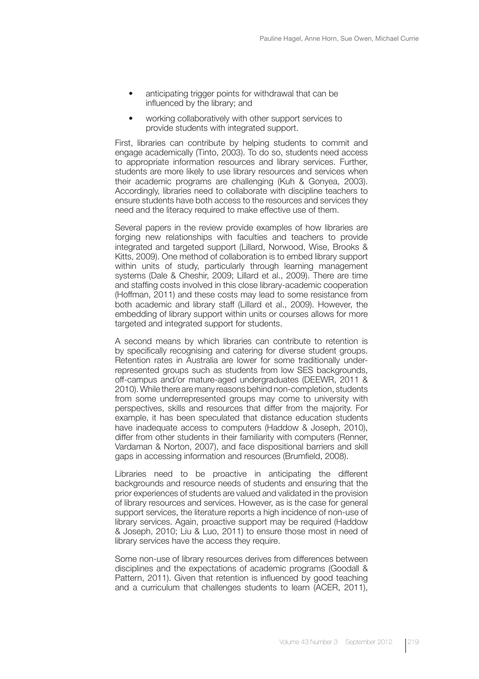- anticipating trigger points for withdrawal that can be influenced by the library; and
- working collaboratively with other support services to provide students with integrated support.

First, libraries can contribute by helping students to commit and engage academically (Tinto, 2003). To do so, students need access to appropriate information resources and library services. Further, students are more likely to use library resources and services when their academic programs are challenging (Kuh & Gonyea, 2003). Accordingly, libraries need to collaborate with discipline teachers to ensure students have both access to the resources and services they need and the literacy required to make effective use of them.

Several papers in the review provide examples of how libraries are forging new relationships with faculties and teachers to provide integrated and targeted support (Lillard, Norwood, Wise, Brooks & Kitts, 2009). One method of collaboration is to embed library support within units of study, particularly through learning management systems (Dale & Cheshir, 2009; Lillard et al., 2009). There are time and staffing costs involved in this close library-academic cooperation (Hoffman, 2011) and these costs may lead to some resistance from both academic and library staff (Lillard et al., 2009). However, the embedding of library support within units or courses allows for more targeted and integrated support for students.

A second means by which libraries can contribute to retention is by specifically recognising and catering for diverse student groups. Retention rates in Australia are lower for some traditionally underrepresented groups such as students from low SES backgrounds, off-campus and/or mature-aged undergraduates (DEEWR, 2011 & 2010). While there are many reasons behind non-completion, students from some underrepresented groups may come to university with perspectives, skills and resources that differ from the majority. For example, it has been speculated that distance education students have inadequate access to computers (Haddow & Joseph, 2010), differ from other students in their familiarity with computers (Renner, Vardaman & Norton, 2007), and face dispositional barriers and skill gaps in accessing information and resources (Brumfield, 2008).

Libraries need to be proactive in anticipating the different backgrounds and resource needs of students and ensuring that the prior experiences of students are valued and validated in the provision of library resources and services. However, as is the case for general support services, the literature reports a high incidence of non-use of library services. Again, proactive support may be required (Haddow & Joseph, 2010; Liu & Luo, 2011) to ensure those most in need of library services have the access they require.

Some non-use of library resources derives from differences between disciplines and the expectations of academic programs (Goodall & Pattern, 2011). Given that retention is influenced by good teaching and a curriculum that challenges students to learn (ACER, 2011),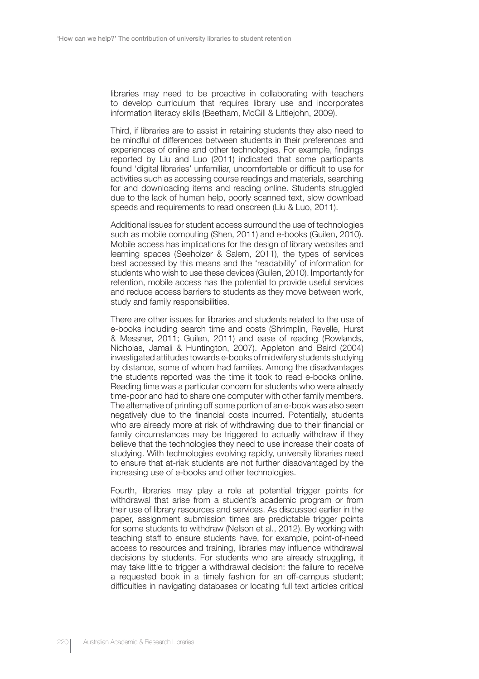libraries may need to be proactive in collaborating with teachers to develop curriculum that requires library use and incorporates information literacy skills (Beetham, McGill & Littlejohn, 2009).

Third, if libraries are to assist in retaining students they also need to be mindful of differences between students in their preferences and experiences of online and other technologies. For example, findings reported by Liu and Luo (2011) indicated that some participants found 'digital libraries' unfamiliar, uncomfortable or difficult to use for activities such as accessing course readings and materials, searching for and downloading items and reading online. Students struggled due to the lack of human help, poorly scanned text, slow download speeds and requirements to read onscreen (Liu & Luo, 2011).

Additional issues for student access surround the use of technologies such as mobile computing (Shen, 2011) and e-books (Guilen, 2010). Mobile access has implications for the design of library websites and learning spaces (Seeholzer & Salem, 2011), the types of services best accessed by this means and the 'readability' of information for students who wish to use these devices (Guilen, 2010). Importantly for retention, mobile access has the potential to provide useful services and reduce access barriers to students as they move between work, study and family responsibilities.

There are other issues for libraries and students related to the use of e-books including search time and costs (Shrimplin, Revelle, Hurst & Messner, 2011; Guilen, 2011) and ease of reading (Rowlands, Nicholas, Jamali & Huntington, 2007). Appleton and Baird (2004) investigated attitudes towards e-books of midwifery students studying by distance, some of whom had families. Among the disadvantages the students reported was the time it took to read e-books online. Reading time was a particular concern for students who were already time-poor and had to share one computer with other family members. The alternative of printing off some portion of an e-book was also seen negatively due to the financial costs incurred. Potentially, students who are already more at risk of withdrawing due to their financial or family circumstances may be triggered to actually withdraw if they believe that the technologies they need to use increase their costs of studying. With technologies evolving rapidly, university libraries need to ensure that at-risk students are not further disadvantaged by the increasing use of e-books and other technologies.

Fourth, libraries may play a role at potential trigger points for withdrawal that arise from a student's academic program or from their use of library resources and services. As discussed earlier in the paper, assignment submission times are predictable trigger points for some students to withdraw (Nelson et al., 2012). By working with teaching staff to ensure students have, for example, point-of-need access to resources and training, libraries may influence withdrawal decisions by students. For students who are already struggling, it may take little to trigger a withdrawal decision: the failure to receive a requested book in a timely fashion for an off-campus student; difficulties in navigating databases or locating full text articles critical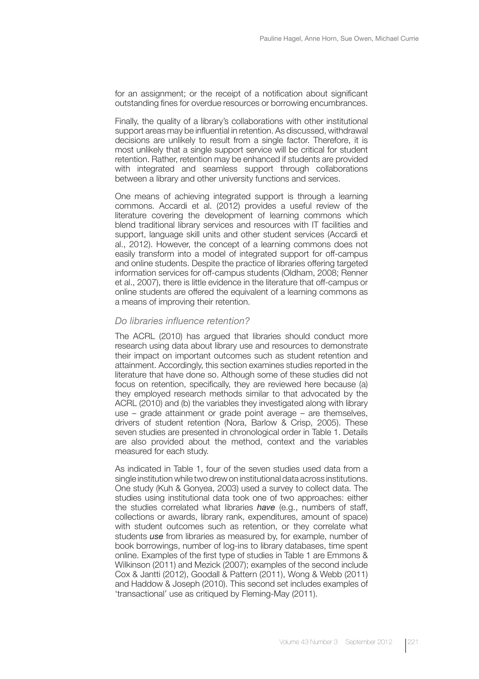for an assignment; or the receipt of a notification about significant outstanding fines for overdue resources or borrowing encumbrances.

Finally, the quality of a library's collaborations with other institutional support areas may be influential in retention. As discussed, withdrawal decisions are unlikely to result from a single factor. Therefore, it is most unlikely that a single support service will be critical for student retention. Rather, retention may be enhanced if students are provided with integrated and seamless support through collaborations between a library and other university functions and services.

One means of achieving integrated support is through a learning commons. Accardi et al. (2012) provides a useful review of the literature covering the development of learning commons which blend traditional library services and resources with IT facilities and support, language skill units and other student services (Accardi et al., 2012). However, the concept of a learning commons does not easily transform into a model of integrated support for off-campus and online students. Despite the practice of libraries offering targeted information services for off-campus students (Oldham, 2008; Renner et al., 2007), there is little evidence in the literature that off-campus or online students are offered the equivalent of a learning commons as a means of improving their retention.

#### *Do libraries influence retention?*

The ACRL (2010) has argued that libraries should conduct more research using data about library use and resources to demonstrate their impact on important outcomes such as student retention and attainment. Accordingly, this section examines studies reported in the literature that have done so. Although some of these studies did not focus on retention, specifically, they are reviewed here because (a) they employed research methods similar to that advocated by the ACRL (2010) and (b) the variables they investigated along with library use – grade attainment or grade point average – are themselves, drivers of student retention (Nora, Barlow & Crisp, 2005). These seven studies are presented in chronological order in Table 1. Details are also provided about the method, context and the variables measured for each study.

As indicated in Table 1, four of the seven studies used data from a single institution while two drew on institutional data across institutions. One study (Kuh & Gonyea, 2003) used a survey to collect data. The studies using institutional data took one of two approaches: either the studies correlated what libraries *have* (e.g., numbers of staff, collections or awards, library rank, expenditures, amount of space) with student outcomes such as retention, or they correlate what students *use* from libraries as measured by, for example, number of book borrowings, number of log-ins to library databases, time spent online. Examples of the first type of studies in Table 1 are Emmons & Wilkinson (2011) and Mezick (2007); examples of the second include Cox & Jantti (2012), Goodall & Pattern (2011), Wong & Webb (2011) and Haddow & Joseph (2010). This second set includes examples of 'transactional' use as critiqued by Fleming-May (2011).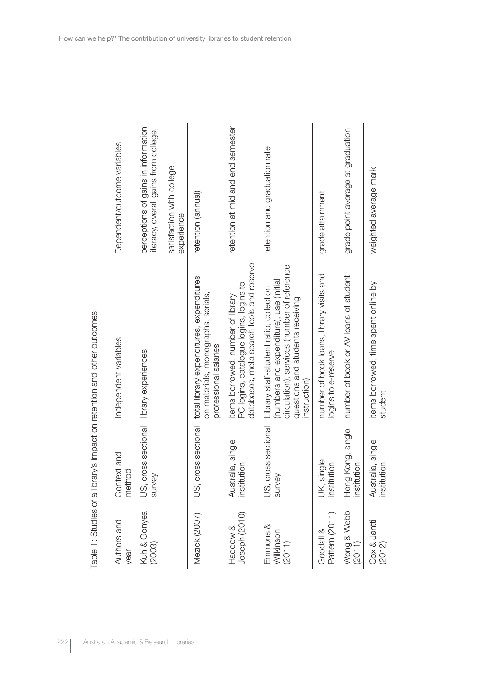|                                 |                                                   | Table 1: Studies of a library's impact on retention and other outcomes                                                                                                               |                                                                              |
|---------------------------------|---------------------------------------------------|--------------------------------------------------------------------------------------------------------------------------------------------------------------------------------------|------------------------------------------------------------------------------|
| Authors and<br>year             | Context and<br>method                             | Independent variables                                                                                                                                                                | Dependent/outcome variables                                                  |
| Kuh & Gonyea<br>(2003)          | US, cross sectional library experiences<br>survey |                                                                                                                                                                                      | perceptions of gains in information<br>literacy, overall gains from college, |
|                                 |                                                   |                                                                                                                                                                                      | satisfaction with college<br>experience                                      |
| Mezick (2007)                   | US, cross sectional                               | total library expenditures, expenditures<br>on materials, monographs, serials,<br>professional salaries                                                                              | retention (annual)                                                           |
| Joseph (2010)<br>Haddow &       | Australia, single<br>institution                  | databases, meta search tools and reserve<br>PC logins, catalogue logins, logins to<br>items borrowed, number of library                                                              | retention at mid and end semester                                            |
| Emmons &<br>Wilkinson<br>(2011) | US, cross sectional<br>survey                     | circulation), services (number of reference<br>(numbers and expenditure), use (initial<br>Library staff-student ratio, collection<br>questions and students receiving<br>nstruction) | retention and graduation rate                                                |
| Pattern (2011)<br>Goodall &     | UK, single<br>institution                         | number of book loans, library visits and<br>logins to e-reserve                                                                                                                      | grade attainment                                                             |
| Wong & Webb<br>(2011)           | Hong Kong, single<br>institution                  | number of book or AV loans of student                                                                                                                                                | grade point average at graduation                                            |
| Cox & Jantti<br>(2012)          | Australia, single<br>institution                  | items borrowed, time spent online by<br>student                                                                                                                                      | weighted average mark                                                        |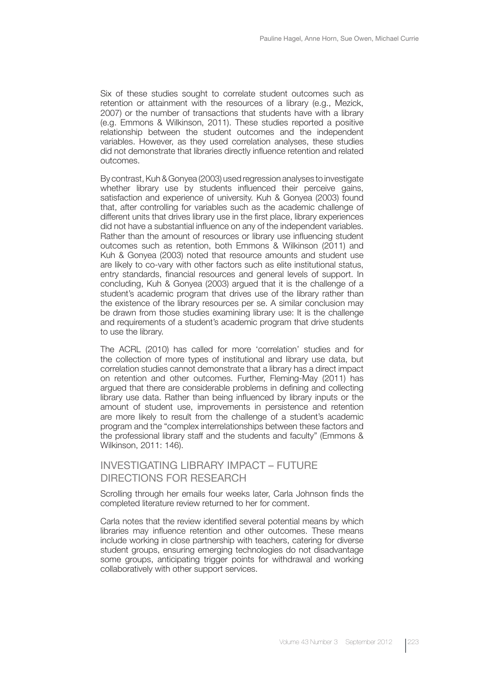Six of these studies sought to correlate student outcomes such as retention or attainment with the resources of a library (e.g., Mezick, 2007) or the number of transactions that students have with a library (e.g. Emmons & Wilkinson, 2011). These studies reported a positive relationship between the student outcomes and the independent variables. However, as they used correlation analyses, these studies did not demonstrate that libraries directly influence retention and related outcomes.

By contrast, Kuh & Gonyea (2003) used regression analyses to investigate whether library use by students influenced their perceive gains, satisfaction and experience of university. Kuh & Gonyea (2003) found that, after controlling for variables such as the academic challenge of different units that drives library use in the first place, library experiences did not have a substantial influence on any of the independent variables. Rather than the amount of resources or library use influencing student outcomes such as retention, both Emmons & Wilkinson (2011) and Kuh & Gonyea (2003) noted that resource amounts and student use are likely to co-vary with other factors such as elite institutional status, entry standards, financial resources and general levels of support. In concluding, Kuh & Gonyea (2003) argued that it is the challenge of a student's academic program that drives use of the library rather than the existence of the library resources per se. A similar conclusion may be drawn from those studies examining library use: It is the challenge and requirements of a student's academic program that drive students to use the library.

The ACRL (2010) has called for more 'correlation' studies and for the collection of more types of institutional and library use data, but correlation studies cannot demonstrate that a library has a direct impact on retention and other outcomes. Further, Fleming-May (2011) has argued that there are considerable problems in defining and collecting library use data. Rather than being influenced by library inputs or the amount of student use, improvements in persistence and retention are more likely to result from the challenge of a student's academic program and the "complex interrelationships between these factors and the professional library staff and the students and faculty" (Emmons & Wilkinson, 2011: 146).

# INVESTIGATING LIBRARY IMPACT – FUTURE DIRECTIONS FOR RESEARCH

Scrolling through her emails four weeks later, Carla Johnson finds the completed literature review returned to her for comment.

Carla notes that the review identified several potential means by which libraries may influence retention and other outcomes. These means include working in close partnership with teachers, catering for diverse student groups, ensuring emerging technologies do not disadvantage some groups, anticipating trigger points for withdrawal and working collaboratively with other support services.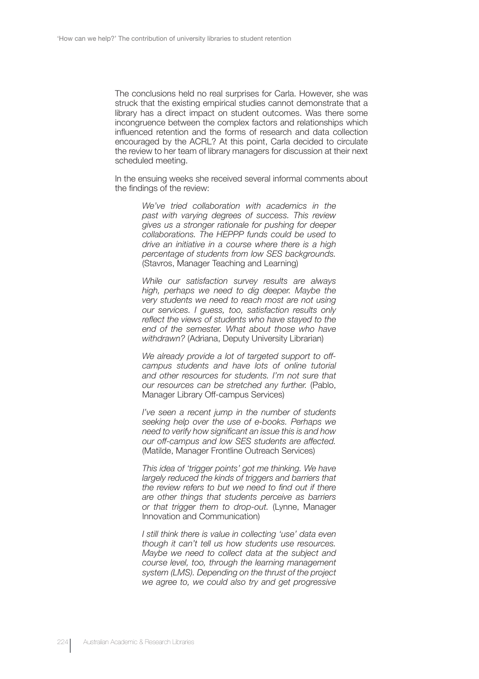The conclusions held no real surprises for Carla. However, she was struck that the existing empirical studies cannot demonstrate that a library has a direct impact on student outcomes. Was there some incongruence between the complex factors and relationships which influenced retention and the forms of research and data collection encouraged by the ACRL? At this point, Carla decided to circulate the review to her team of library managers for discussion at their next scheduled meeting.

In the ensuing weeks she received several informal comments about the findings of the review:

> *We've tried collaboration with academics in the past with varying degrees of success. This review gives us a stronger rationale for pushing for deeper collaborations. The HEPPP funds could be used to drive an initiative in a course where there is a high percentage of students from low SES backgrounds.*  (Stavros, Manager Teaching and Learning)

> *While our satisfaction survey results are always high, perhaps we need to dig deeper. Maybe the very students we need to reach most are not using our services. I guess, too, satisfaction results only reflect the views of students who have stayed to the end of the semester. What about those who have withdrawn?* (Adriana, Deputy University Librarian)

> *We already provide a lot of targeted support to offcampus students and have lots of online tutorial and other resources for students. I'm not sure that our resources can be stretched any further.* (Pablo, Manager Library Off-campus Services)

> *I've seen a recent jump in the number of students seeking help over the use of e-books. Perhaps we need to verify how significant an issue this is and how our off-campus and low SES students are affected.*  (Matilde, Manager Frontline Outreach Services)

> *This idea of 'trigger points' got me thinking. We have largely reduced the kinds of triggers and barriers that the review refers to but we need to find out if there are other things that students perceive as barriers or that trigger them to drop-out.* (Lynne, Manager Innovation and Communication)

> *I still think there is value in collecting 'use' data even though it can't tell us how students use resources. Maybe we need to collect data at the subject and course level, too, through the learning management system (LMS). Depending on the thrust of the project we agree to, we could also try and get progressive*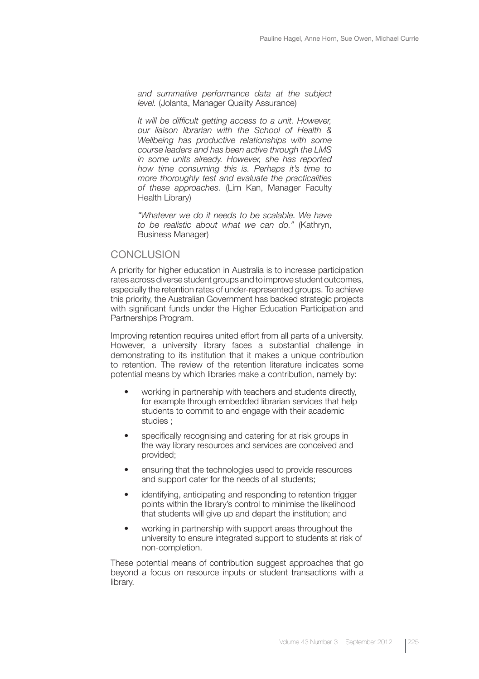*and summative performance data at the subject level.* (Jolanta, Manager Quality Assurance)

*It will be difficult getting access to a unit. However, our liaison librarian with the School of Health & Wellbeing has productive relationships with some course leaders and has been active through the LMS in some units already. However, she has reported how time consuming this is. Perhaps it's time to more thoroughly test and evaluate the practicalities of these approaches.* (Lim Kan, Manager Faculty Health Library)

*"Whatever we do it needs to be scalable. We have to be realistic about what we can do."* (Kathryn, Business Manager)

## CONCLUSION

A priority for higher education in Australia is to increase participation rates across diverse student groups and to improve student outcomes, especially the retention rates of under-represented groups. To achieve this priority, the Australian Government has backed strategic projects with significant funds under the Higher Education Participation and Partnerships Program.

Improving retention requires united effort from all parts of a university. However, a university library faces a substantial challenge in demonstrating to its institution that it makes a unique contribution to retention. The review of the retention literature indicates some potential means by which libraries make a contribution, namely by:

- working in partnership with teachers and students directly, for example through embedded librarian services that help students to commit to and engage with their academic studies ;
- specifically recognising and catering for at risk groups in the way library resources and services are conceived and provided;
- ensuring that the technologies used to provide resources and support cater for the needs of all students;
- identifying, anticipating and responding to retention trigger points within the library's control to minimise the likelihood that students will give up and depart the institution; and
- working in partnership with support areas throughout the university to ensure integrated support to students at risk of non-completion.

These potential means of contribution suggest approaches that go beyond a focus on resource inputs or student transactions with a library.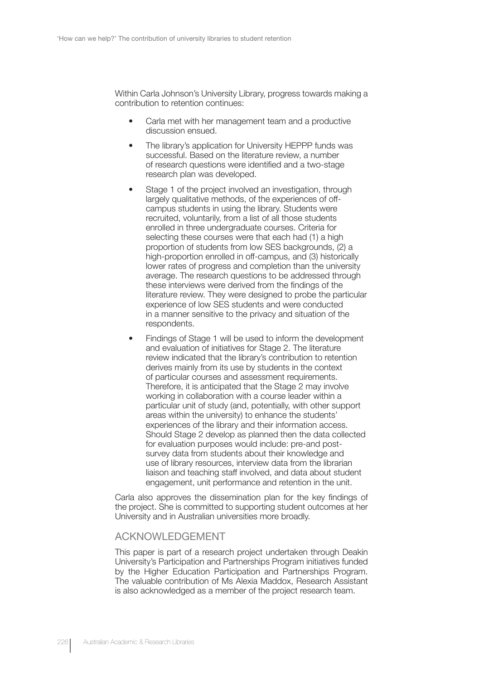Within Carla Johnson's University Library, progress towards making a contribution to retention continues:

- Carla met with her management team and a productive discussion ensued.
- The library's application for University HEPPP funds was successful. Based on the literature review, a number of research questions were identified and a two-stage research plan was developed.
- Stage 1 of the project involved an investigation, through largely qualitative methods, of the experiences of offcampus students in using the library. Students were recruited, voluntarily, from a list of all those students enrolled in three undergraduate courses. Criteria for selecting these courses were that each had (1) a high proportion of students from low SES backgrounds, (2) a high-proportion enrolled in off-campus, and (3) historically lower rates of progress and completion than the university average. The research questions to be addressed through these interviews were derived from the findings of the literature review. They were designed to probe the particular experience of low SES students and were conducted in a manner sensitive to the privacy and situation of the respondents.
- Findings of Stage 1 will be used to inform the development and evaluation of initiatives for Stage 2. The literature review indicated that the library's contribution to retention derives mainly from its use by students in the context of particular courses and assessment requirements. Therefore, it is anticipated that the Stage 2 may involve working in collaboration with a course leader within a particular unit of study (and, potentially, with other support areas within the university) to enhance the students' experiences of the library and their information access. Should Stage 2 develop as planned then the data collected for evaluation purposes would include: pre-and postsurvey data from students about their knowledge and use of library resources, interview data from the librarian liaison and teaching staff involved, and data about student engagement, unit performance and retention in the unit.

Carla also approves the dissemination plan for the key findings of the project. She is committed to supporting student outcomes at her University and in Australian universities more broadly.

## ACKNOWLEDGEMENT

This paper is part of a research project undertaken through Deakin University's Participation and Partnerships Program initiatives funded by the Higher Education Participation and Partnerships Program. The valuable contribution of Ms Alexia Maddox, Research Assistant is also acknowledged as a member of the project research team.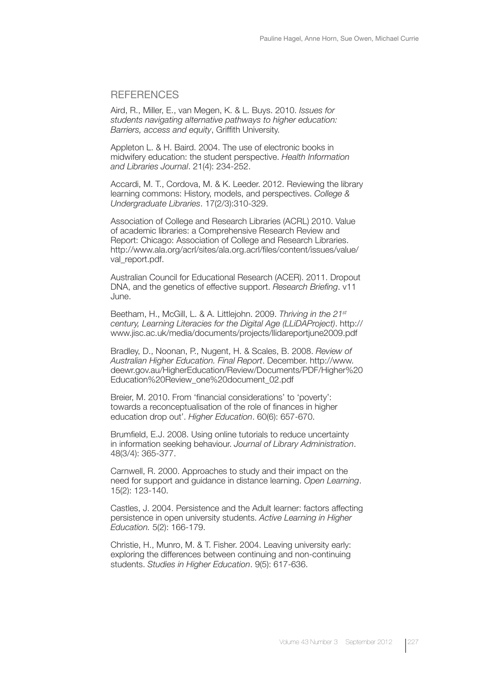## **REFERENCES**

Aird, R., Miller, E., van Megen, K. & L. Buys. 2010. *Issues for students navigating alternative pathways to higher education: Barriers, access and equity*, Griffith University.

Appleton L. & H. Baird. 2004. The use of electronic books in midwifery education: the student perspective. *Health Information and Libraries Journal*. 21(4): 234-252.

Accardi, M. T., Cordova, M. & K. Leeder. 2012. Reviewing the library learning commons: History, models, and perspectives. *College & Undergraduate Libraries*. 17(2/3):310-329.

Association of College and Research Libraries (ACRL) 2010. Value of academic libraries: a Comprehensive Research Review and Report: Chicago: Association of College and Research Libraries. http://www.ala.org/acrl/sites/ala.org.acrl/files/content/issues/value/ val report.pdf.

Australian Council for Educational Research (ACER). 2011. Dropout DNA, and the genetics of effective support. *Research Briefing*. v11 June.

Beetham, H., McGill, L. & A. Littlejohn. 2009. *Thriving in the 21st century, Learning Literacies for the Digital Age (LLiDAProject)*. http:// www.jisc.ac.uk/media/documents/projects/llidareportjune2009.pdf

Bradley, D., Noonan, P., Nugent, H. & Scales, B. 2008. *Review of Australian Higher Education. Final Report*. December. http://www. deewr.gov.au/HigherEducation/Review/Documents/PDF/Higher%20 Education%20Review\_one%20document\_02.pdf

Breier, M. 2010. From 'financial considerations' to 'poverty': towards a reconceptualisation of the role of finances in higher education drop out'. *Higher Education*. 60(6): 657-670.

Brumfield, E.J. 2008. Using online tutorials to reduce uncertainty in information seeking behaviour. *Journal of Library Administration*. 48(3/4): 365-377.

Carnwell, R. 2000. Approaches to study and their impact on the need for support and guidance in distance learning. *Open Learning*. 15(2): 123-140.

Castles, J. 2004. Persistence and the Adult learner: factors affecting persistence in open university students. *Active Learning in Higher Education.* 5(2): 166-179.

Christie, H., Munro, M. & T. Fisher. 2004. Leaving university early: exploring the differences between continuing and non-continuing students. *Studies in Higher Education*. 9(5): 617-636.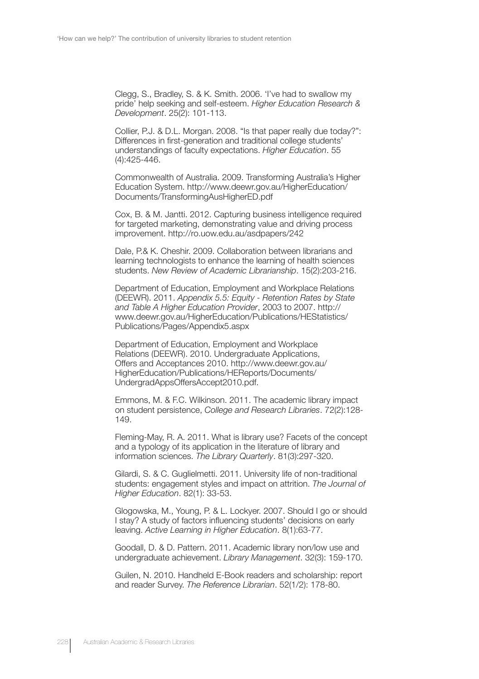Clegg, S., Bradley, S. & K. Smith. 2006. 'I've had to swallow my pride' help seeking and self-esteem. *Higher Education Research & Development*. 25(2): 101-113.

Collier, P.J. & D.L. Morgan. 2008. "Is that paper really due today?": Differences in first-generation and traditional college students' understandings of faculty expectations. *Higher Education*. 55 (4):425-446.

Commonwealth of Australia. 2009. Transforming Australia's Higher Education System. http://www.deewr.gov.au/HigherEducation/ Documents/TransformingAusHigherED.pdf

Cox, B. & M. Jantti. 2012. Capturing business intelligence required for targeted marketing, demonstrating value and driving process improvement. http://ro.uow.edu.au/asdpapers/242

Dale, P.& K. Cheshir. 2009. Collaboration between librarians and learning technologists to enhance the learning of health sciences students. *New Review of Academic Librarianship*. 15(2):203-216.

Department of Education, Employment and Workplace Relations (DEEWR). 2011. *Appendix 5.5: Equity - Retention Rates by State and Table A Higher Education Provider*, 2003 to 2007. http:// www.deewr.gov.au/HigherEducation/Publications/HEStatistics/ Publications/Pages/Appendix5.aspx

Department of Education, Employment and Workplace Relations (DEEWR). 2010. Undergraduate Applications, Offers and Acceptances 2010. http://www.deewr.gov.au/ HigherEducation/Publications/HEReports/Documents/ UndergradAppsOffersAccept2010.pdf.

Emmons, M. & F.C. Wilkinson. 2011. The academic library impact on student persistence, *College and Research Libraries*. 72(2):128- 149.

Fleming-May, R. A. 2011. What is library use? Facets of the concept and a typology of its application in the literature of library and information sciences. *The Library Quarterly*. 81(3):297-320.

Gilardi, S. & C. Guglielmetti. 2011. University life of non-traditional students: engagement styles and impact on attrition. *The Journal of Higher Education*. 82(1): 33-53.

Glogowska, M., Young, P. & L. Lockyer. 2007. Should I go or should I stay? A study of factors influencing students' decisions on early leaving. *Active Learning in Higher Education*. 8(1):63-77.

Goodall, D. & D. Pattern. 2011. Academic library non/low use and undergraduate achievement. *Library Management*. 32(3): 159-170.

Guilen, N. 2010. Handheld E-Book readers and scholarship: report and reader Survey. *The Reference Librarian*. 52(1/2): 178-80.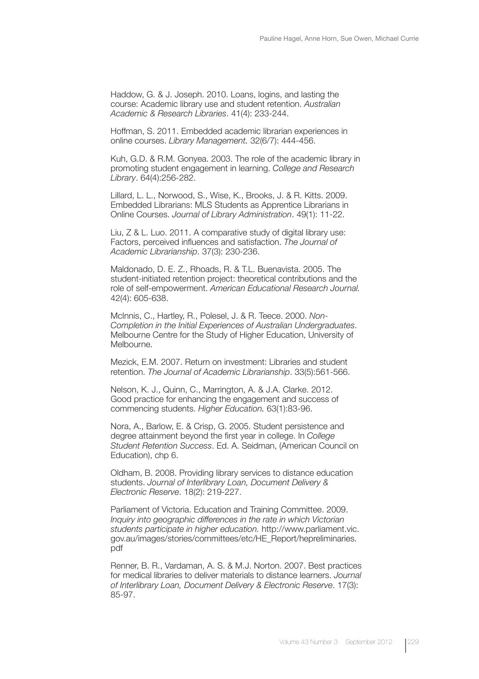Haddow, G. & J. Joseph. 2010. Loans, logins, and lasting the course: Academic library use and student retention. *Australian Academic & Research Libraries*. 41(4): 233-244.

Hoffman, S. 2011. Embedded academic librarian experiences in online courses. *Library Management.* 32(6/7): 444-456.

Kuh, G.D. & R.M. Gonyea. 2003. The role of the academic library in promoting student engagement in learning. *College and Research Library*. 64(4):256-282.

Lillard, L. L., Norwood, S., Wise, K., Brooks, J. & R. Kitts. 2009. Embedded Librarians: MLS Students as Apprentice Librarians in Online Courses. *Journal of Library Administration*. 49(1): 11-22.

Liu, Z & L. Luo. 2011. A comparative study of digital library use: Factors, perceived influences and satisfaction. *The Journal of Academic Librarianship*. 37(3): 230-236.

Maldonado, D. E. Z., Rhoads, R. & T.L. Buenavista. 2005. The student-initiated retention project: theoretical contributions and the role of self-empowerment. *American Educational Research Journal.*  42(4): 605-638.

McInnis, C., Hartley, R., Polesel, J. & R. Teece. 2000. *Non-Completion in the Initial Experiences of Australian Undergraduates*. Melbourne Centre for the Study of Higher Education, University of Melbourne.

Mezick, E.M. 2007. Return on investment: Libraries and student retention. *The Journal of Academic Librarianship*. 33(5):561-566.

Nelson, K. J., Quinn, C., Marrington, A. & J.A. Clarke. 2012. Good practice for enhancing the engagement and success of commencing students. *Higher Education.* 63(1):83-96.

Nora, A., Barlow, E. & Crisp, G. 2005. Student persistence and degree attainment beyond the first year in college. In *College Student Retention Success*. Ed. A. Seidman, (American Council on Education), chp 6.

Oldham, B. 2008. Providing library services to distance education students. *Journal of Interlibrary Loan, Document Delivery & Electronic Reserve*. 18(2): 219-227.

Parliament of Victoria. Education and Training Committee. 2009. *Inquiry into geographic differences in the rate in which Victorian students participate in higher education.* http://www.parliament.vic. gov.au/images/stories/committees/etc/HE\_Report/hepreliminaries. pdf

Renner, B. R., Vardaman, A. S. & M.J. Norton. 2007. Best practices for medical libraries to deliver materials to distance learners. *Journal of Interlibrary Loan, Document Delivery & Electronic Reserve*. 17(3): 85-97.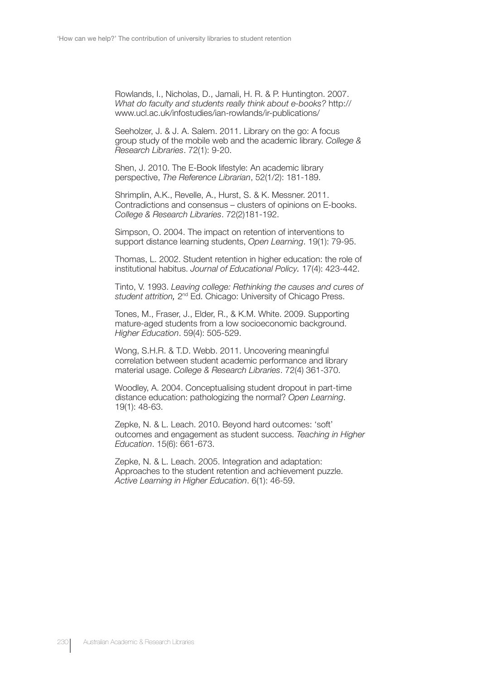Rowlands, I., Nicholas, D., Jamali, H. R. & P. Huntington. 2007. *What do faculty and students really think about e-books?* http:// www.ucl.ac.uk/infostudies/ian-rowlands/ir-publications/

Seeholzer, J. & J. A. Salem. 2011. Library on the go: A focus group study of the mobile web and the academic library. *College & Research Libraries*. 72(1): 9-20.

Shen, J. 2010. The E-Book lifestyle: An academic library perspective, *The Reference Librarian*, 52(1/2): 181-189.

Shrimplin, A.K., Revelle, A., Hurst, S. & K. Messner. 2011. Contradictions and consensus – clusters of opinions on E-books. *College & Research Libraries*. 72(2)181-192.

Simpson, O. 2004. The impact on retention of interventions to support distance learning students, *Open Learning*. 19(1): 79-95.

Thomas, L. 2002. Student retention in higher education: the role of institutional habitus. *Journal of Educational Policy.* 17(4): 423-442.

Tinto, V. 1993. *Leaving college: Rethinking the causes and cures of student attrition,* 2nd Ed. Chicago: University of Chicago Press.

Tones, M., Fraser, J., Elder, R., & K.M. White. 2009. Supporting mature-aged students from a low socioeconomic background. *Higher Education*. 59(4): 505-529.

Wong, S.H.R. & T.D. Webb. 2011. Uncovering meaningful correlation between student academic performance and library material usage. *College & Research Libraries*. 72(4) 361-370.

Woodley, A. 2004. Conceptualising student dropout in part-time distance education: pathologizing the normal? *Open Learning*. 19(1): 48-63.

Zepke, N. & L. Leach. 2010. Beyond hard outcomes: 'soft' outcomes and engagement as student success. *Teaching in Higher Education*. 15(6): 661-673.

Zepke, N. & L. Leach. 2005. Integration and adaptation: Approaches to the student retention and achievement puzzle. *Active Learning in Higher Education*. 6(1): 46-59.